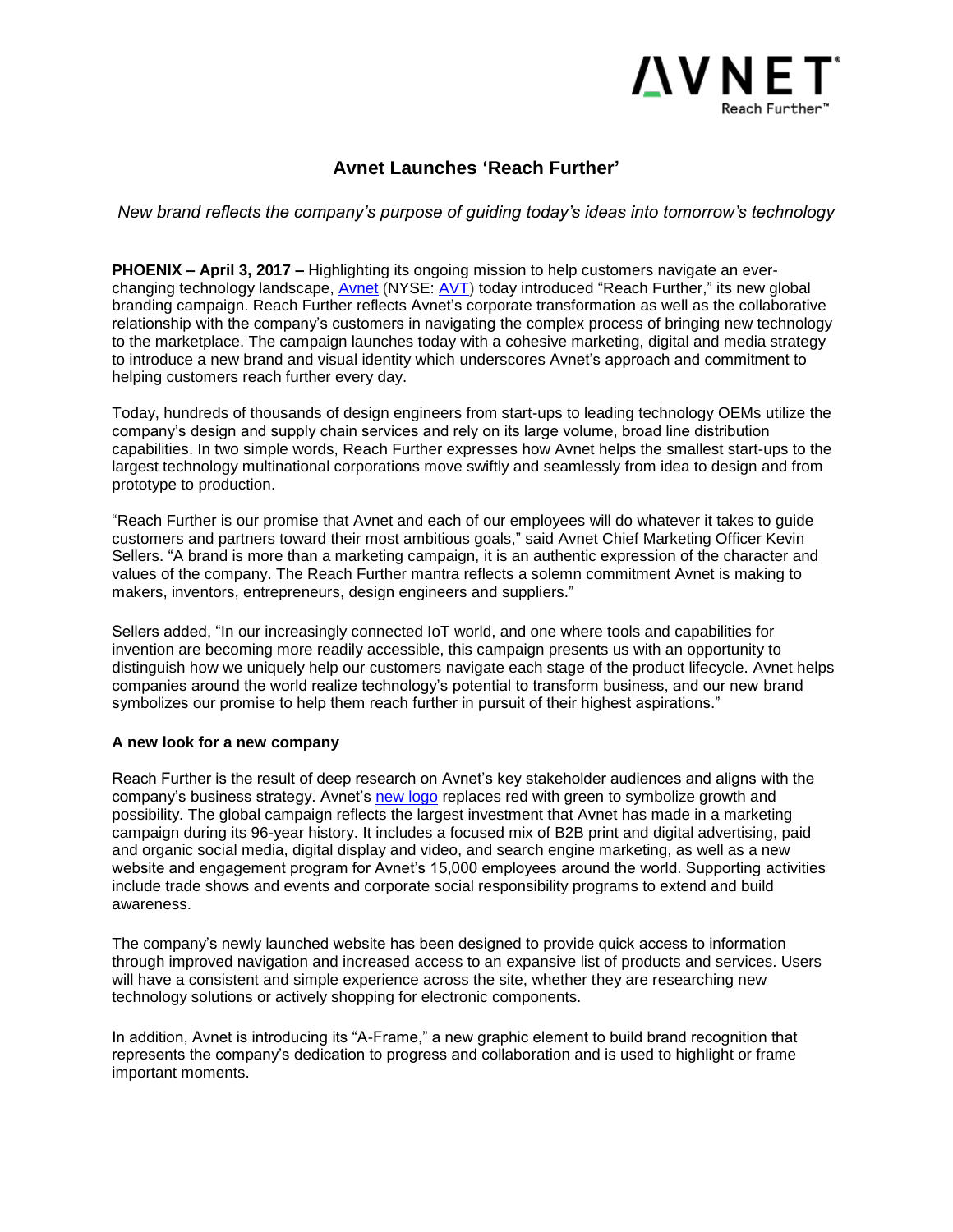

## **Avnet Launches 'Reach Further'**

*New brand reflects the company's purpose of guiding today's ideas into tomorrow's technology*

**PHOENIX – April 3, 2017 –** Highlighting its ongoing mission to help customers navigate an everchanging technology landscape, [Avnet](http://www.avnet.com/) (NYSE: [AVT\)](http://www.ir.avnet.com/) today introduced "Reach Further," its new global branding campaign. Reach Further reflects Avnet's corporate transformation as well as the collaborative relationship with the company's customers in navigating the complex process of bringing new technology to the marketplace. The campaign launches today with a cohesive marketing, digital and media strategy to introduce a new brand and visual identity which underscores Avnet's approach and commitment to helping customers reach further every day.

Today, hundreds of thousands of design engineers from start-ups to leading technology OEMs utilize the company's design and supply chain services and rely on its large volume, broad line distribution capabilities. In two simple words, Reach Further expresses how Avnet helps the smallest start-ups to the largest technology multinational corporations move swiftly and seamlessly from idea to design and from prototype to production.

"Reach Further is our promise that Avnet and each of our employees will do whatever it takes to guide customers and partners toward their most ambitious goals," said Avnet Chief Marketing Officer Kevin Sellers. "A brand is more than a marketing campaign, it is an authentic expression of the character and values of the company. The Reach Further mantra reflects a solemn commitment Avnet is making to makers, inventors, entrepreneurs, design engineers and suppliers."

Sellers added, "In our increasingly connected IoT world, and one where tools and capabilities for invention are becoming more readily accessible, this campaign presents us with an opportunity to distinguish how we uniquely help our customers navigate each stage of the product lifecycle. Avnet helps companies around the world realize technology's potential to transform business, and our new brand symbolizes our promise to help them reach further in pursuit of their highest aspirations."

## **A new look for a new company**

Reach Further is the result of deep research on Avnet's key stakeholder audiences and aligns with the company's business strategy. Avnet's [new logo](http://www.avnet.com/wps/portal/us/company/about-avnet/overview/) replaces red with green to symbolize growth and possibility. The global campaign reflects the largest investment that Avnet has made in a marketing campaign during its 96-year history. It includes a focused mix of B2B print and digital advertising, paid and organic social media, digital display and video, and search engine marketing, as well as a new website and engagement program for Avnet's 15,000 employees around the world. Supporting activities include trade shows and events and corporate social responsibility programs to extend and build awareness.

The company's newly launched website has been designed to provide quick access to information through improved navigation and increased access to an expansive list of products and services. Users will have a consistent and simple experience across the site, whether they are researching new technology solutions or actively shopping for electronic components.

In addition, Avnet is introducing its "A-Frame," a new graphic element to build brand recognition that represents the company's dedication to progress and collaboration and is used to highlight or frame important moments.